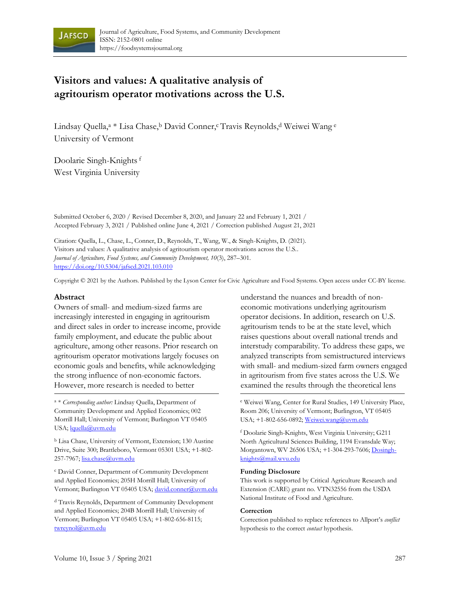

# **Visitors and values: A qualitative analysis of agritourism operator motivations across the U.S.**

Lindsay Quella,<sup>a \*</sup> Lisa Chase,<sup>b</sup> David Conner,<sup>c</sup> Travis Reynolds,<sup>d</sup> Weiwei Wang <sup>e</sup> University of Vermont

Doolarie Singh-Knights<sup>f</sup> West Virginia University

Submitted October 6, 2020 / Revised December 8, 2020, and January 22 and February 1, 2021 / Accepted February 3, 2021 / Published online June 4, 2021 / Correction published August 21, 2021

Citation: Quella, L., Chase, L., Conner, D., Reynolds, T., Wang, W., & Singh-Knights, D. (2021). Visitors and values: A qualitative analysis of agritourism operator motivations across the U.S.. *Journal of Agriculture, Food Systems, and Community Development, 10*(3), 287–301. https://doi.org/10.5304/jafscd.2021.103.010

Copyright © 2021 by the Authors. Published by the Lyson Center for Civic Agriculture and Food Systems. Open access under CC-BY license.

#### **Abstract**

Owners of small- and medium-sized farms are increasingly interested in engaging in agritourism and direct sales in order to increase income, provide family employment, and educate the public about agriculture, among other reasons. Prior research on agritourism operator motivations largely focuses on economic goals and benefits, while acknowledging the strong influence of non-economic factors. However, more research is needed to better

<sup>a</sup> \* *Corresponding author:* Lindsay Quella, Department of Community Development and Applied Economics; 002 Morrill Hall; University of Vermont; Burlington VT 05405 USA; lquella@uvm.edu

<sup>b</sup> Lisa Chase, University of Vermont, Extension; 130 Austine Drive, Suite 300; Brattleboro, Vermont 05301 USA; +1-802- 257-7967; lisa.chase@uvm.edu

<sup>c</sup> David Conner, Department of Community Development and Applied Economics; 205H Morrill Hall; University of Vermont; Burlington VT 05405 USA; david.conner@uvm.edu

<sup>d</sup> Travis Reynolds, Department of Community Development and Applied Economics; 204B Morrill Hall; University of Vermont; Burlington VT 05405 USA; +1-802-656-8115; twreynol@uvm.edu

understand the nuances and breadth of noneconomic motivations underlying agritourism operator decisions. In addition, research on U.S. agritourism tends to be at the state level, which raises questions about overall national trends and interstudy comparability. To address these gaps, we analyzed transcripts from semistructured interviews with small- and medium-sized farm owners engaged in agritourism from five states across the U.S. We examined the results through the theoretical lens

<sup>e</sup> Weiwei Wang, Center for Rural Studies, 149 University Place, Room 206; University of Vermont; Burlington, VT 05405 USA; +1-802-656-0892; Weiwei.wang@uvm.edu

<sup>f</sup> Doolarie Singh-Knights, West Virginia University; G211 North Agricultural Sciences Building, 1194 Evansdale Way; Morgantown, WV 26506 USA; +1-304-293-7606; Dosinghknights@mail.wvu.edu

#### **Funding Disclosure**

This work is supported by Critical Agriculture Research and Extension (CARE) grant no. VTN32556 from the USDA National Institute of Food and Agriculture.

#### **Correction**

Correction published to replace references to Allport's *conflict* hypothesis to the correct *contact* hypothesis.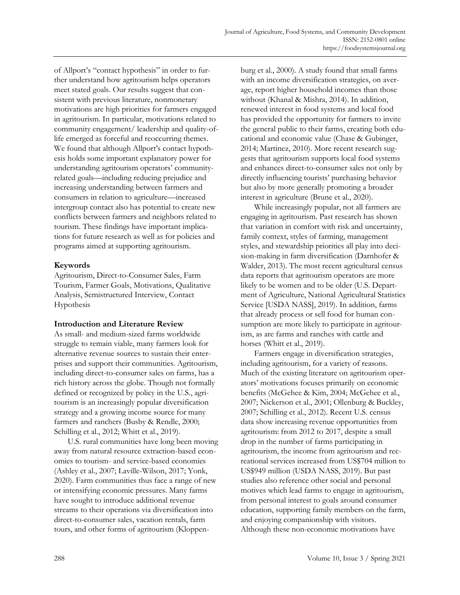of Allport's "contact hypothesis" in order to further understand how agritourism helps operators meet stated goals. Our results suggest that consistent with previous literature, nonmonetary motivations are high priorities for farmers engaged in agritourism. In particular, motivations related to community engagement/ leadership and quality-oflife emerged as forceful and reoccurring themes. We found that although Allport's contact hypothesis holds some important explanatory power for understanding agritourism operators' communityrelated goals—including reducing prejudice and increasing understanding between farmers and consumers in relation to agriculture—increased intergroup contact also has potential to create new conflicts between farmers and neighbors related to tourism. These findings have important implications for future research as well as for policies and programs aimed at supporting agritourism.

### **Keywords**

Agritourism, Direct-to-Consumer Sales, Farm Tourism, Farmer Goals, Motivations, Qualitative Analysis, Semistructured Interview, Contact Hypothesis

#### **Introduction and Literature Review**

As small- and medium-sized farms worldwide struggle to remain viable, many farmers look for alternative revenue sources to sustain their enterprises and support their communities. Agritourism, including direct-to-consumer sales on farms, has a rich history across the globe. Though not formally defined or recognized by policy in the U.S., agritourism is an increasingly popular diversification strategy and a growing income source for many farmers and ranchers (Busby & Rendle, 2000; Schilling et al., 2012; Whitt et al., 2019).

U.S. rural communities have long been moving away from natural resource extraction-based economies to tourism- and service-based economies (Ashley et al., 2007; Laville-Wilson, 2017; Yonk, 2020). Farm communities thus face a range of new or intensifying economic pressures. Many farms have sought to introduce additional revenue streams to their operations via diversification into direct-to-consumer sales, vacation rentals, farm tours, and other forms of agritourism (Kloppenburg et al., 2000). A study found that small farms with an income diversification strategies, on average, report higher household incomes than those without (Khanal & Mishra, 2014). In addition, renewed interest in food systems and local food has provided the opportunity for farmers to invite the general public to their farms, creating both educational and economic value (Chase & Gubinger, 2014; Martinez, 2010). More recent research suggests that agritourism supports local food systems and enhances direct-to-consumer sales not only by directly influencing tourists' purchasing behavior but also by more generally promoting a broader interest in agriculture (Brune et al., 2020).

While increasingly popular, not all farmers are engaging in agritourism. Past research has shown that variation in comfort with risk and uncertainty, family context, styles of farming, management styles, and stewardship priorities all play into decision-making in farm diversification (Darnhofer & Walder, 2013). The most recent agricultural census data reports that agritourism operators are more likely to be women and to be older (U.S. Department of Agriculture, National Agricultural Statistics Service [USDA NASS], 2019). In addition, farms that already process or sell food for human consumption are more likely to participate in agritourism, as are farms and ranches with cattle and horses (Whitt et al., 2019).

Farmers engage in diversification strategies, including agritourism, for a variety of reasons. Much of the existing literature on agritourism operators' motivations focuses primarily on economic benefits (McGehee & Kim, 2004; McGehee et al., 2007; Nickerson et al., 2001; Ollenburg & Buckley, 2007; Schilling et al., 2012). Recent U.S. census data show increasing revenue opportunities from agritourism: from 2012 to 2017, despite a small drop in the number of farms participating in agritourism, the income from agritourism and recreational services increased from US\$704 million to US\$949 million (USDA NASS, 2019). But past studies also reference other social and personal motives which lead farms to engage in agritourism, from personal interest to goals around consumer education, supporting family members on the farm, and enjoying companionship with visitors. Although these non-economic motivations have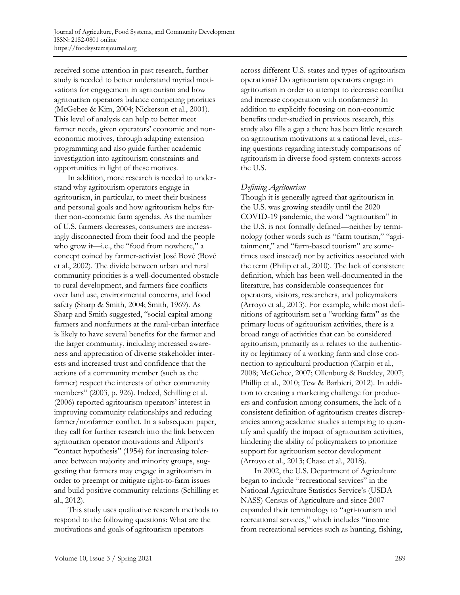received some attention in past research, further study is needed to better understand myriad motivations for engagement in agritourism and how agritourism operators balance competing priorities (McGehee & Kim, 2004; Nickerson et al., 2001). This level of analysis can help to better meet farmer needs, given operators' economic and noneconomic motives, through adapting extension programming and also guide further academic investigation into agritourism constraints and opportunities in light of these motives.

In addition, more research is needed to understand why agritourism operators engage in agritourism, in particular, to meet their business and personal goals and how agritourism helps further non-economic farm agendas. As the number of U.S. farmers decreases, consumers are increasingly disconnected from their food and the people who grow it—i.e., the "food from nowhere," a concept coined by farmer-activist José Bové (Bové et al., 2002). The divide between urban and rural community priorities is a well-documented obstacle to rural development, and farmers face conflicts over land use, environmental concerns, and food safety (Sharp & Smith, 2004; Smith, 1969). As Sharp and Smith suggested, "social capital among farmers and nonfarmers at the rural-urban interface is likely to have several benefits for the farmer and the larger community, including increased awareness and appreciation of diverse stakeholder interests and increased trust and confidence that the actions of a community member (such as the farmer) respect the interests of other community members" (2003, p. 926). Indeed, Schilling et al. (2006) reported agritourism operators' interest in improving community relationships and reducing farmer/nonfarmer conflict. In a subsequent paper, they call for further research into the link between agritourism operator motivations and Allport's "contact hypothesis" (1954) for increasing tolerance between majority and minority groups, suggesting that farmers may engage in agritourism in order to preempt or mitigate right-to-farm issues and build positive community relations (Schilling et al., 2012).

This study uses qualitative research methods to respond to the following questions: What are the motivations and goals of agritourism operators

across different U.S. states and types of agritourism operations? Do agritourism operators engage in agritourism in order to attempt to decrease conflict and increase cooperation with nonfarmers? In addition to explicitly focusing on non-economic benefits under-studied in previous research, this study also fills a gap a there has been little research on agritourism motivations at a national level, raising questions regarding interstudy comparisons of agritourism in diverse food system contexts across the U.S.

#### *Defining Agritourism*

Though it is generally agreed that agritourism in the U.S. was growing steadily until the 2020 COVID-19 pandemic, the word "agritourism" in the U.S. is not formally defined—neither by terminology (other words such as "farm tourism," "agritainment," and "farm-based tourism" are sometimes used instead) nor by activities associated with the term (Philip et al., 2010). The lack of consistent definition, which has been well-documented in the literature, has considerable consequences for operators, visitors, researchers, and policymakers (Arroyo et al., 2013). For example, while most definitions of agritourism set a "working farm" as the primary locus of agritourism activities, there is a broad range of activities that can be considered agritourism, primarily as it relates to the authenticity or legitimacy of a working farm and close connection to agricultural production (Carpio et al., 2008; McGehee, 2007; Ollenburg & Buckley, 2007; Phillip et al., 2010; Tew & Barbieri, 2012). In addition to creating a marketing challenge for producers and confusion among consumers, the lack of a consistent definition of agritourism creates discrepancies among academic studies attempting to quantify and qualify the impact of agritourism activities, hindering the ability of policymakers to prioritize support for agritourism sector development (Arroyo et al., 2013; Chase et al., 2018).

In 2002, the U.S. Department of Agriculture began to include "recreational services" in the National Agriculture Statistics Service's (USDA NASS) Census of Agriculture and since 2007 expanded their terminology to "agri-tourism and recreational services," which includes "income from recreational services such as hunting, fishing,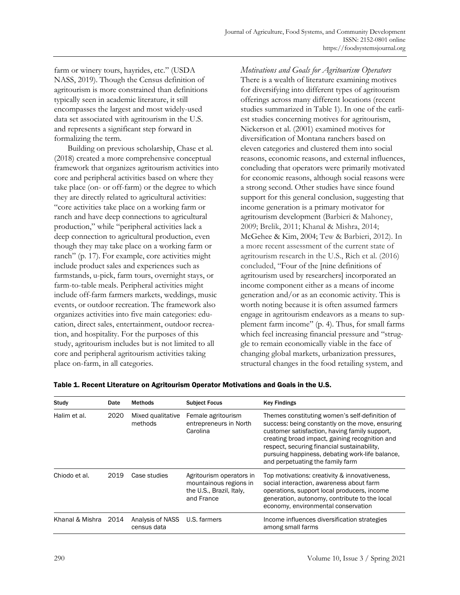farm or winery tours, hayrides, etc." (USDA NASS, 2019). Though the Census definition of agritourism is more constrained than definitions typically seen in academic literature, it still encompasses the largest and most widely-used data set associated with agritourism in the U.S. and represents a significant step forward in formalizing the term.

Building on previous scholarship, Chase et al. (2018) created a more comprehensive conceptual framework that organizes agritourism activities into core and peripheral activities based on where they take place (on- or off-farm) or the degree to which they are directly related to agricultural activities: "core activities take place on a working farm or ranch and have deep connections to agricultural production," while "peripheral activities lack a deep connection to agricultural production, even though they may take place on a working farm or ranch" (p. 17). For example, core activities might include product sales and experiences such as farmstands, u-pick, farm tours, overnight stays, or farm-to-table meals. Peripheral activities might include off-farm farmers markets, weddings, music events, or outdoor recreation. The framework also organizes activities into five main categories: education, direct sales, entertainment, outdoor recreation, and hospitality. For the purposes of this study, agritourism includes but is not limited to all core and peripheral agritourism activities taking place on-farm, in all categories.

*Motivations and Goals for Agritourism Operators* There is a wealth of literature examining motives for diversifying into different types of agritourism offerings across many different locations (recent studies summarized in Table 1). In one of the earliest studies concerning motives for agritourism, Nickerson et al. (2001) examined motives for diversification of Montana ranchers based on eleven categories and clustered them into social reasons, economic reasons, and external influences, concluding that operators were primarily motivated for economic reasons, although social reasons were a strong second. Other studies have since found support for this general conclusion, suggesting that income generation is a primary motivator for agritourism development (Barbieri & Mahoney, 2009; Brelik, 2011; Khanal & Mishra, 2014; McGehee & Kim, 2004; Tew & Barbieri, 2012). In a more recent assessment of the current state of agritourism research in the U.S., Rich et al. (2016) concluded, "Four of the [nine definitions of agritourism used by researchers] incorporated an income component either as a means of income generation and/or as an economic activity. This is worth noting because it is often assumed farmers engage in agritourism endeavors as a means to supplement farm income" (p. 4). Thus, for small farms which feel increasing financial pressure and "struggle to remain economically viable in the face of changing global markets, urbanization pressures, structural changes in the food retailing system, and

| Study           | Date | <b>Methods</b>                  | <b>Subject Focus</b>                                                                         | <b>Key Findings</b>                                                                                                                                                                                                                                                                                                                        |
|-----------------|------|---------------------------------|----------------------------------------------------------------------------------------------|--------------------------------------------------------------------------------------------------------------------------------------------------------------------------------------------------------------------------------------------------------------------------------------------------------------------------------------------|
| Halim et al.    | 2020 | Mixed qualitative<br>methods    | Female agritourism<br>entrepreneurs in North<br>Carolina                                     | Themes constituting women's self-definition of<br>success: being constantly on the move, ensuring<br>customer satisfaction, having family support,<br>creating broad impact, gaining recognition and<br>respect, securing financial sustainability,<br>pursuing happiness, debating work-life balance,<br>and perpetuating the family farm |
| Chiodo et al.   | 2019 | Case studies                    | Agritourism operators in<br>mountainous regions in<br>the U.S., Brazil, Italy,<br>and France | Top motivations: creativity & innovativeness,<br>social interaction, awareness about farm<br>operations, support local producers, income<br>generation, autonomy, contribute to the local<br>economy, environmental conservation                                                                                                           |
| Khanal & Mishra | 2014 | Analysis of NASS<br>census data | U.S. farmers                                                                                 | Income influences diversification strategies<br>among small farms                                                                                                                                                                                                                                                                          |

#### Table 1. Recent Literature on Agritourism Operator Motivations and Goals in the U.S.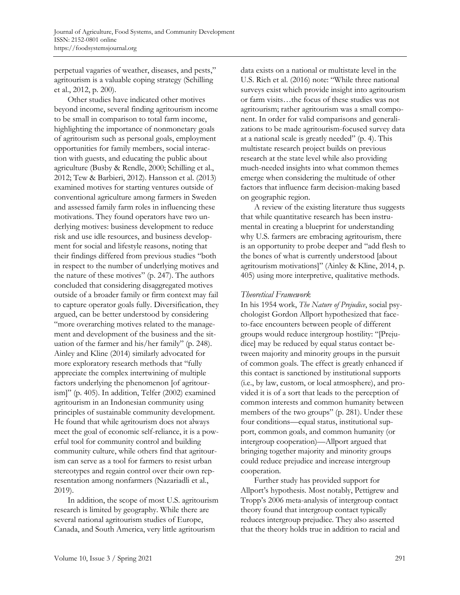perpetual vagaries of weather, diseases, and pests," agritourism is a valuable coping strategy (Schilling et al., 2012, p. 200).

Other studies have indicated other motives beyond income, several finding agritourism income to be small in comparison to total farm income, highlighting the importance of nonmonetary goals of agritourism such as personal goals, employment opportunities for family members, social interaction with guests, and educating the public about agriculture (Busby & Rendle, 2000; Schilling et al., 2012; Tew & Barbieri, 2012). Hansson et al. (2013) examined motives for starting ventures outside of conventional agriculture among farmers in Sweden and assessed family farm roles in influencing these motivations. They found operators have two underlying motives: business development to reduce risk and use idle resources, and business development for social and lifestyle reasons, noting that their findings differed from previous studies "both in respect to the number of underlying motives and the nature of these motives" (p. 247). The authors concluded that considering disaggregated motives outside of a broader family or firm context may fail to capture operator goals fully. Diversification, they argued, can be better understood by considering "more overarching motives related to the management and development of the business and the situation of the farmer and his/her family" (p. 248). Ainley and Kline (2014) similarly advocated for more exploratory research methods that "fully appreciate the complex intertwining of multiple factors underlying the phenomenon [of agritourism]" (p. 405). In addition, Telfer (2002) examined agritourism in an Indonesian community using principles of sustainable community development. He found that while agritourism does not always meet the goal of economic self-reliance, it is a powerful tool for community control and building community culture, while others find that agritourism can serve as a tool for farmers to resist urban stereotypes and regain control over their own representation among nonfarmers (Nazariadli et al., 2019).

In addition, the scope of most U.S. agritourism research is limited by geography. While there are several national agritourism studies of Europe, Canada, and South America, very little agritourism

data exists on a national or multistate level in the U.S. Rich et al. (2016) note: "While three national surveys exist which provide insight into agritourism or farm visits…the focus of these studies was not agritourism; rather agritourism was a small component. In order for valid comparisons and generalizations to be made agritourism-focused survey data at a national scale is greatly needed" (p. 4). This multistate research project builds on previous research at the state level while also providing much-needed insights into what common themes emerge when considering the multitude of other factors that influence farm decision-making based on geographic region.

A review of the existing literature thus suggests that while quantitative research has been instrumental in creating a blueprint for understanding why U.S. farmers are embracing agritourism, there is an opportunity to probe deeper and "add flesh to the bones of what is currently understood [about agritourism motivations]" (Ainley & Kline, 2014, p. 405) using more interpretive, qualitative methods.

#### *Theoretical Framework*

In his 1954 work, *The Nature of Prejudice*, social psychologist Gordon Allport hypothesized that faceto-face encounters between people of different groups would reduce intergroup hostility: "[Prejudice] may be reduced by equal status contact between majority and minority groups in the pursuit of common goals. The effect is greatly enhanced if this contact is sanctioned by institutional supports (i.e., by law, custom, or local atmosphere), and provided it is of a sort that leads to the perception of common interests and common humanity between members of the two groups" (p. 281). Under these four conditions—equal status, institutional support, common goals, and common humanity (or intergroup cooperation)—Allport argued that bringing together majority and minority groups could reduce prejudice and increase intergroup cooperation.

Further study has provided support for Allport's hypothesis. Most notably, Pettigrew and Tropp's 2006 meta-analysis of intergroup contact theory found that intergroup contact typically reduces intergroup prejudice. They also asserted that the theory holds true in addition to racial and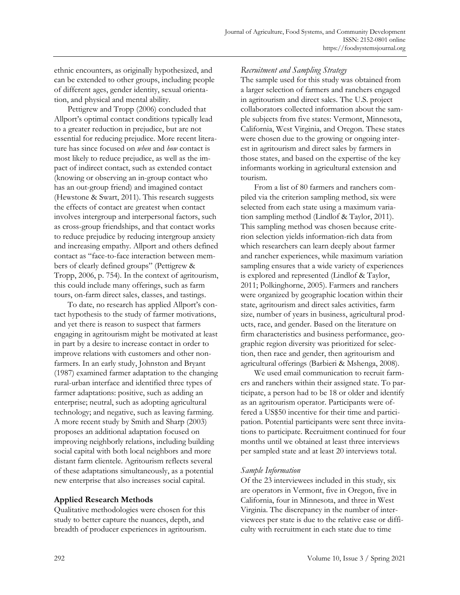ethnic encounters, as originally hypothesized, and can be extended to other groups, including people of different ages, gender identity, sexual orientation, and physical and mental ability.

Pettigrew and Tropp (2006) concluded that Allport's optimal contact conditions typically lead to a greater reduction in prejudice, but are not essential for reducing prejudice. More recent literature has since focused on *when* and *how* contact is most likely to reduce prejudice, as well as the impact of indirect contact, such as extended contact (knowing or observing an in-group contact who has an out-group friend) and imagined contact (Hewstone & Swart, 2011). This research suggests the effects of contact are greatest when contact involves intergroup and interpersonal factors, such as cross-group friendships, and that contact works to reduce prejudice by reducing intergroup anxiety and increasing empathy. Allport and others defined contact as "face-to-face interaction between members of clearly defined groups" (Pettigrew & Tropp, 2006, p. 754). In the context of agritourism, this could include many offerings, such as farm tours, on-farm direct sales, classes, and tastings.

To date, no research has applied Allport's contact hypothesis to the study of farmer motivations, and yet there is reason to suspect that farmers engaging in agritourism might be motivated at least in part by a desire to increase contact in order to improve relations with customers and other nonfarmers. In an early study, Johnston and Bryant (1987) examined farmer adaptation to the changing rural-urban interface and identified three types of farmer adaptations: positive, such as adding an enterprise; neutral, such as adopting agricultural technology; and negative, such as leaving farming. A more recent study by Smith and Sharp (2003) proposes an additional adaptation focused on improving neighborly relations, including building social capital with both local neighbors and more distant farm clientele. Agritourism reflects several of these adaptations simultaneously, as a potential new enterprise that also increases social capital.

#### **Applied Research Methods**

Qualitative methodologies were chosen for this study to better capture the nuances, depth, and breadth of producer experiences in agritourism.

# *Recruitment and Sampling Strategy*

The sample used for this study was obtained from a larger selection of farmers and ranchers engaged in agritourism and direct sales. The U.S. project collaborators collected information about the sample subjects from five states: Vermont, Minnesota, California, West Virginia, and Oregon. These states were chosen due to the growing or ongoing interest in agritourism and direct sales by farmers in those states, and based on the expertise of the key informants working in agricultural extension and tourism.

From a list of 80 farmers and ranchers compiled via the criterion sampling method, six were selected from each state using a maximum variation sampling method (Lindlof & Taylor, 2011). This sampling method was chosen because criterion selection yields information-rich data from which researchers can learn deeply about farmer and rancher experiences, while maximum variation sampling ensures that a wide variety of experiences is explored and represented (Lindlof & Taylor, 2011; Polkinghorne, 2005). Farmers and ranchers were organized by geographic location within their state, agritourism and direct sales activities, farm size, number of years in business, agricultural products, race, and gender. Based on the literature on firm characteristics and business performance, geographic region diversity was prioritized for selection, then race and gender, then agritourism and agricultural offerings (Barbieri & Mshenga, 2008).

We used email communication to recruit farmers and ranchers within their assigned state. To participate, a person had to be 18 or older and identify as an agritourism operator. Participants were offered a US\$50 incentive for their time and participation. Potential participants were sent three invitations to participate. Recruitment continued for four months until we obtained at least three interviews per sampled state and at least 20 interviews total.

#### *Sample Information*

Of the 23 interviewees included in this study, six are operators in Vermont, five in Oregon, five in California, four in Minnesota, and three in West Virginia. The discrepancy in the number of interviewees per state is due to the relative ease or difficulty with recruitment in each state due to time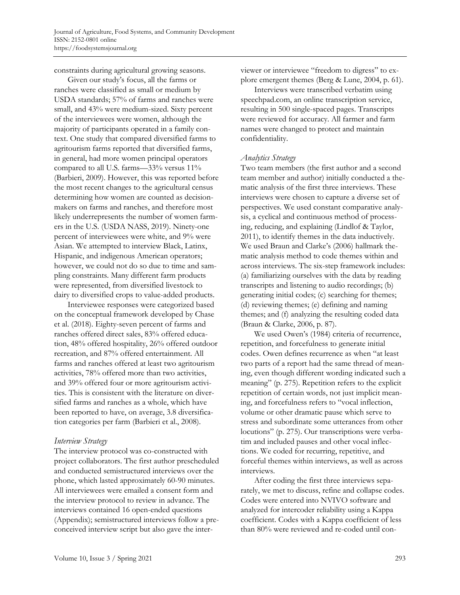constraints during agricultural growing seasons.

Given our study's focus, all the farms or ranches were classified as small or medium by USDA standards; 57% of farms and ranches were small, and 43% were medium-sized. Sixty percent of the interviewees were women, although the majority of participants operated in a family context. One study that compared diversified farms to agritourism farms reported that diversified farms, in general, had more women principal operators compared to all U.S. farms—33% versus 11% (Barbieri, 2009). However, this was reported before the most recent changes to the agricultural census determining how women are counted as decisionmakers on farms and ranches, and therefore most likely underrepresents the number of women farmers in the U.S. (USDA NASS, 2019). Ninety-one percent of interviewees were white, and 9% were Asian. We attempted to interview Black, Latinx, Hispanic, and indigenous American operators; however, we could not do so due to time and sampling constraints. Many different farm products were represented, from diversified livestock to dairy to diversified crops to value-added products.

Interviewee responses were categorized based on the conceptual framework developed by Chase et al. (2018). Eighty-seven percent of farms and ranches offered direct sales, 83% offered education, 48% offered hospitality, 26% offered outdoor recreation, and 87% offered entertainment. All farms and ranches offered at least two agritourism activities, 78% offered more than two activities, and 39% offered four or more agritourism activities. This is consistent with the literature on diversified farms and ranches as a whole, which have been reported to have, on average, 3.8 diversification categories per farm (Barbieri et al., 2008).

#### *Interview Strategy*

The interview protocol was co-constructed with project collaborators. The first author prescheduled and conducted semistructured interviews over the phone, which lasted approximately 60-90 minutes. All interviewees were emailed a consent form and the interview protocol to review in advance. The interviews contained 16 open-ended questions (Appendix); semistructured interviews follow a preconceived interview script but also gave the interviewer or interviewee "freedom to digress" to explore emergent themes (Berg & Lune, 2004, p. 61).

Interviews were transcribed verbatim using speechpad.com, an online transcription service, resulting in 500 single-spaced pages. Transcripts were reviewed for accuracy. All farmer and farm names were changed to protect and maintain confidentiality.

#### *Analytics Strategy*

Two team members (the first author and a second team member and author) initially conducted a thematic analysis of the first three interviews. These interviews were chosen to capture a diverse set of perspectives. We used constant comparative analysis, a cyclical and continuous method of processing, reducing, and explaining (Lindlof & Taylor, 2011), to identify themes in the data inductively. We used Braun and Clarke's (2006) hallmark thematic analysis method to code themes within and across interviews. The six-step framework includes: (a) familiarizing ourselves with the data by reading transcripts and listening to audio recordings; (b) generating initial codes; (c) searching for themes; (d) reviewing themes; (e) defining and naming themes; and (f) analyzing the resulting coded data (Braun & Clarke, 2006, p. 87).

We used Owen's (1984) criteria of recurrence, repetition, and forcefulness to generate initial codes. Owen defines recurrence as when "at least two parts of a report had the same thread of meaning, even though different wording indicated such a meaning" (p. 275). Repetition refers to the explicit repetition of certain words, not just implicit meaning, and forcefulness refers to "vocal inflection, volume or other dramatic pause which serve to stress and subordinate some utterances from other locutions" (p. 275). Our transcriptions were verbatim and included pauses and other vocal inflections. We coded for recurring, repetitive, and forceful themes within interviews, as well as across interviews.

After coding the first three interviews separately, we met to discuss, refine and collapse codes. Codes were entered into NVIVO software and analyzed for intercoder reliability using a Kappa coefficient. Codes with a Kappa coefficient of less than 80% were reviewed and re-coded until con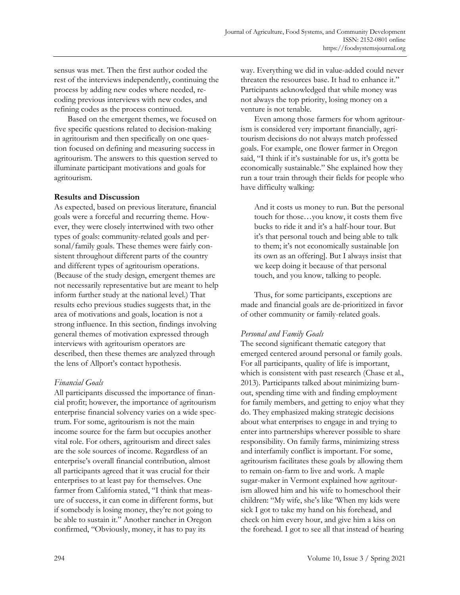sensus was met. Then the first author coded the rest of the interviews independently, continuing the process by adding new codes where needed, recoding previous interviews with new codes, and refining codes as the process continued.

Based on the emergent themes, we focused on five specific questions related to decision-making in agritourism and then specifically on one question focused on defining and measuring success in agritourism. The answers to this question served to illuminate participant motivations and goals for agritourism.

### **Results and Discussion**

As expected, based on previous literature, financial goals were a forceful and recurring theme. However, they were closely intertwined with two other types of goals: community-related goals and personal/family goals. These themes were fairly consistent throughout different parts of the country and different types of agritourism operations. (Because of the study design, emergent themes are not necessarily representative but are meant to help inform further study at the national level.) That results echo previous studies suggests that, in the area of motivations and goals, location is not a strong influence. In this section, findings involving general themes of motivation expressed through interviews with agritourism operators are described, then these themes are analyzed through the lens of Allport's contact hypothesis.

# *Financial Goals*

All participants discussed the importance of financial profit; however, the importance of agritourism enterprise financial solvency varies on a wide spectrum. For some, agritourism is not the main income source for the farm but occupies another vital role. For others, agritourism and direct sales are the sole sources of income. Regardless of an enterprise's overall financial contribution, almost all participants agreed that it was crucial for their enterprises to at least pay for themselves. One farmer from California stated, "I think that measure of success, it can come in different forms, but if somebody is losing money, they're not going to be able to sustain it." Another rancher in Oregon confirmed, "Obviously, money, it has to pay its

way. Everything we did in value-added could never threaten the resources base. It had to enhance it." Participants acknowledged that while money was not always the top priority, losing money on a venture is not tenable.

Even among those farmers for whom agritourism is considered very important financially, agritourism decisions do not always match professed goals. For example, one flower farmer in Oregon said, "I think if it's sustainable for us, it's gotta be economically sustainable." She explained how they run a tour train through their fields for people who have difficulty walking:

And it costs us money to run. But the personal touch for those…you know, it costs them five bucks to ride it and it's a half-hour tour. But it's that personal touch and being able to talk to them; it's not economically sustainable [on its own as an offering]. But I always insist that we keep doing it because of that personal touch, and you know, talking to people.

Thus, for some participants, exceptions are made and financial goals are de-prioritized in favor of other community or family-related goals.

# *Personal and Family Goals*

The second significant thematic category that emerged centered around personal or family goals. For all participants, quality of life is important, which is consistent with past research (Chase et al., 2013). Participants talked about minimizing burnout, spending time with and finding employment for family members, and getting to enjoy what they do. They emphasized making strategic decisions about what enterprises to engage in and trying to enter into partnerships wherever possible to share responsibility. On family farms, minimizing stress and interfamily conflict is important. For some, agritourism facilitates these goals by allowing them to remain on-farm to live and work. A maple sugar-maker in Vermont explained how agritourism allowed him and his wife to homeschool their children: "My wife, she's like 'When my kids were sick I got to take my hand on his forehead, and check on him every hour, and give him a kiss on the forehead. I got to see all that instead of hearing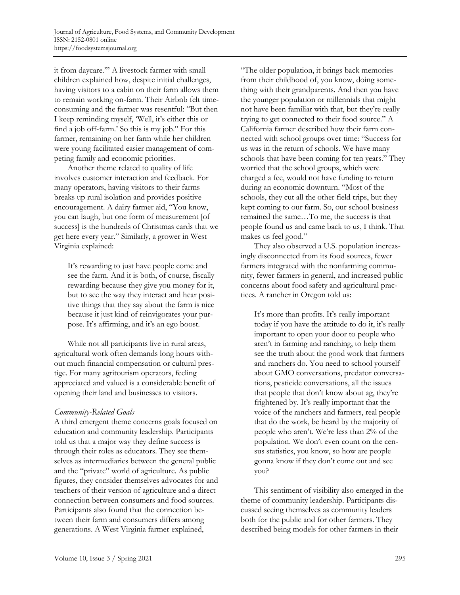it from daycare.'" A livestock farmer with small children explained how, despite initial challenges, having visitors to a cabin on their farm allows them to remain working on-farm. Their Airbnb felt timeconsuming and the farmer was resentful: "But then I keep reminding myself, 'Well, it's either this or find a job off-farm.' So this is my job." For this farmer, remaining on her farm while her children were young facilitated easier management of competing family and economic priorities.

Another theme related to quality of life involves customer interaction and feedback. For many operators, having visitors to their farms breaks up rural isolation and provides positive encouragement. A dairy farmer aid, "You know, you can laugh, but one form of measurement [of success] is the hundreds of Christmas cards that we get here every year." Similarly, a grower in West Virginia explained:

It's rewarding to just have people come and see the farm. And it is both, of course, fiscally rewarding because they give you money for it, but to see the way they interact and hear positive things that they say about the farm is nice because it just kind of reinvigorates your purpose. It's affirming, and it's an ego boost.

While not all participants live in rural areas, agricultural work often demands long hours without much financial compensation or cultural prestige. For many agritourism operators, feeling appreciated and valued is a considerable benefit of opening their land and businesses to visitors.

#### *Community-Related Goals*

A third emergent theme concerns goals focused on education and community leadership. Participants told us that a major way they define success is through their roles as educators. They see themselves as intermediaries between the general public and the "private" world of agriculture. As public figures, they consider themselves advocates for and teachers of their version of agriculture and a direct connection between consumers and food sources. Participants also found that the connection between their farm and consumers differs among generations. A West Virginia farmer explained,

"The older population, it brings back memories from their childhood of, you know, doing something with their grandparents. And then you have the younger population or millennials that might not have been familiar with that, but they're really trying to get connected to their food source." A California farmer described how their farm connected with school groups over time: "Success for us was in the return of schools. We have many schools that have been coming for ten years." They worried that the school groups, which were charged a fee, would not have funding to return during an economic downturn. "Most of the schools, they cut all the other field trips, but they kept coming to our farm. So, our school business remained the same…To me, the success is that people found us and came back to us, I think. That makes us feel good."

They also observed a U.S. population increasingly disconnected from its food sources, fewer farmers integrated with the nonfarming community, fewer farmers in general, and increased public concerns about food safety and agricultural practices. A rancher in Oregon told us:

It's more than profits. It's really important today if you have the attitude to do it, it's really important to open your door to people who aren't in farming and ranching, to help them see the truth about the good work that farmers and ranchers do. You need to school yourself about GMO conversations, predator conversations, pesticide conversations, all the issues that people that don't know about ag, they're frightened by. It's really important that the voice of the ranchers and farmers, real people that do the work, be heard by the majority of people who aren't. We're less than 2% of the population. We don't even count on the census statistics, you know, so how are people gonna know if they don't come out and see you?

This sentiment of visibility also emerged in the theme of community leadership. Participants discussed seeing themselves as community leaders both for the public and for other farmers. They described being models for other farmers in their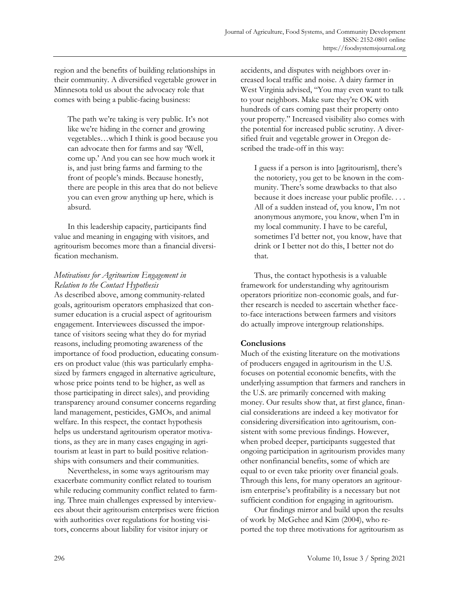region and the benefits of building relationships in their community. A diversified vegetable grower in Minnesota told us about the advocacy role that comes with being a public-facing business:

The path we're taking is very public. It's not like we're hiding in the corner and growing vegetables…which I think is good because you can advocate then for farms and say 'Well, come up.' And you can see how much work it is, and just bring farms and farming to the front of people's minds. Because honestly, there are people in this area that do not believe you can even grow anything up here, which is absurd.

In this leadership capacity, participants find value and meaning in engaging with visitors, and agritourism becomes more than a financial diversification mechanism.

# *Motivations for Agritourism Engagement in Relation to the Contact Hypothesis*

As described above, among community-related goals, agritourism operators emphasized that consumer education is a crucial aspect of agritourism engagement. Interviewees discussed the importance of visitors seeing what they do for myriad reasons, including promoting awareness of the importance of food production, educating consumers on product value (this was particularly emphasized by farmers engaged in alternative agriculture, whose price points tend to be higher, as well as those participating in direct sales), and providing transparency around consumer concerns regarding land management, pesticides, GMOs, and animal welfare. In this respect, the contact hypothesis helps us understand agritourism operator motivations, as they are in many cases engaging in agritourism at least in part to build positive relationships with consumers and their communities.

Nevertheless, in some ways agritourism may exacerbate community conflict related to tourism while reducing community conflict related to farming. Three main challenges expressed by interviewees about their agritourism enterprises were friction with authorities over regulations for hosting visitors, concerns about liability for visitor injury or

accidents, and disputes with neighbors over increased local traffic and noise. A dairy farmer in West Virginia advised, "You may even want to talk to your neighbors. Make sure they're OK with hundreds of cars coming past their property onto your property." Increased visibility also comes with the potential for increased public scrutiny. A diversified fruit and vegetable grower in Oregon described the trade-off in this way:

I guess if a person is into [agritourism], there's the notoriety, you get to be known in the community. There's some drawbacks to that also because it does increase your public profile. . . . All of a sudden instead of, you know, I'm not anonymous anymore, you know, when I'm in my local community. I have to be careful, sometimes I'd better not, you know, have that drink or I better not do this, I better not do that.

Thus, the contact hypothesis is a valuable framework for understanding why agritourism operators prioritize non-economic goals, and further research is needed to ascertain whether faceto-face interactions between farmers and visitors do actually improve intergroup relationships.

# **Conclusions**

Much of the existing literature on the motivations of producers engaged in agritourism in the U.S. focuses on potential economic benefits, with the underlying assumption that farmers and ranchers in the U.S. are primarily concerned with making money. Our results show that, at first glance, financial considerations are indeed a key motivator for considering diversification into agritourism, consistent with some previous findings. However, when probed deeper, participants suggested that ongoing participation in agritourism provides many other nonfinancial benefits, some of which are equal to or even take priority over financial goals. Through this lens, for many operators an agritourism enterprise's profitability is a necessary but not sufficient condition for engaging in agritourism.

Our findings mirror and build upon the results of work by McGehee and Kim (2004), who reported the top three motivations for agritourism as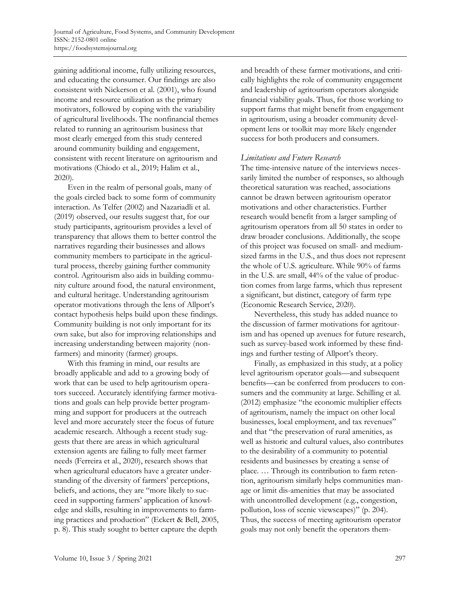gaining additional income, fully utilizing resources, and educating the consumer. Our findings are also consistent with Nickerson et al. (2001), who found income and resource utilization as the primary motivators, followed by coping with the variability of agricultural livelihoods. The nonfinancial themes related to running an agritourism business that most clearly emerged from this study centered around community building and engagement, consistent with recent literature on agritourism and motivations (Chiodo et al., 2019; Halim et al., 2020).

Even in the realm of personal goals, many of the goals circled back to some form of community interaction. As Telfer (2002) and Nazariadli et al. (2019) observed, our results suggest that, for our study participants, agritourism provides a level of transparency that allows them to better control the narratives regarding their businesses and allows community members to participate in the agricultural process, thereby gaining further community control. Agritourism also aids in building community culture around food, the natural environment, and cultural heritage. Understanding agritourism operator motivations through the lens of Allport's contact hypothesis helps build upon these findings. Community building is not only important for its own sake, but also for improving relationships and increasing understanding between majority (nonfarmers) and minority (farmer) groups.

With this framing in mind, our results are broadly applicable and add to a growing body of work that can be used to help agritourism operators succeed. Accurately identifying farmer motivations and goals can help provide better programming and support for producers at the outreach level and more accurately steer the focus of future academic research. Although a recent study suggests that there are areas in which agricultural extension agents are failing to fully meet farmer needs (Ferreira et al., 2020), research shows that when agricultural educators have a greater understanding of the diversity of farmers' perceptions, beliefs, and actions, they are "more likely to succeed in supporting farmers' application of knowledge and skills, resulting in improvements to farming practices and production" (Eckert & Bell, 2005, p. 8). This study sought to better capture the depth

and breadth of these farmer motivations, and critically highlights the role of community engagement and leadership of agritourism operators alongside financial viability goals. Thus, for those working to support farms that might benefit from engagement in agritourism, using a broader community development lens or toolkit may more likely engender success for both producers and consumers.

#### *Limitations and Future Research*

The time-intensive nature of the interviews necessarily limited the number of responses, so although theoretical saturation was reached, associations cannot be drawn between agritourism operator motivations and other characteristics. Further research would benefit from a larger sampling of agritourism operators from all 50 states in order to draw broader conclusions. Additionally, the scope of this project was focused on small- and mediumsized farms in the U.S., and thus does not represent the whole of U.S. agriculture. While 90% of farms in the U.S. are small, 44% of the value of production comes from large farms, which thus represent a significant, but distinct, category of farm type (Economic Research Service, 2020).

Nevertheless, this study has added nuance to the discussion of farmer motivations for agritourism and has opened up avenues for future research, such as survey-based work informed by these findings and further testing of Allport's theory.

Finally, as emphasized in this study, at a policy level agritourism operator goals—and subsequent benefits—can be conferred from producers to consumers and the community at large. Schilling et al. (2012) emphasize "the economic multiplier effects of agritourism, namely the impact on other local businesses, local employment, and tax revenues" and that "the preservation of rural amenities, as well as historic and cultural values, also contributes to the desirability of a community to potential residents and businesses by creating a sense of place. … Through its contribution to farm retention, agritourism similarly helps communities manage or limit dis-amenities that may be associated with uncontrolled development (e.g., congestion, pollution, loss of scenic viewscapes)" (p. 204). Thus, the success of meeting agritourism operator goals may not only benefit the operators them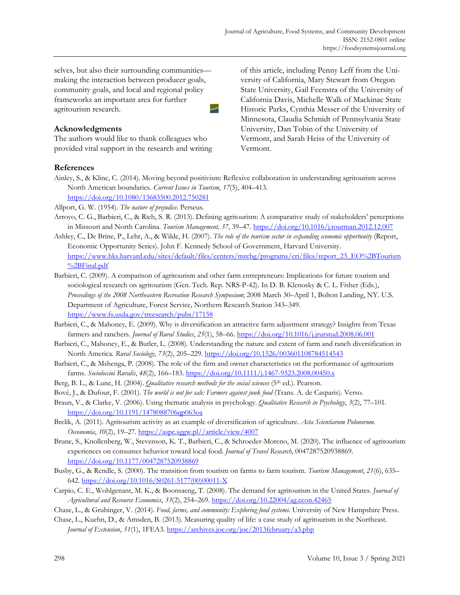selves, but also their surrounding communities making the interaction between producer goals, community goals, and local and regional policy frameworks an important area for further agritourism research. -

#### **Acknowledgments**

The authors would like to thank colleagues who provided vital support in the research and writing of this article, including Penny Leff from the University of California, Mary Stewart from Oregon State University, Gail Feenstra of the University of California Davis, Michelle Walk of Mackinac State Historic Parks, Cynthia Messer of the University of Minnesota, Claudia Schmidt of Pennsylvania State University, Dan Tobin of the University of Vermont, and Sarah Heiss of the University of Vermont.

#### **References**

Ainley, S., & Kline, C. (2014). Moving beyond positivism: Reflexive collaboration in understanding agritourism across North American boundaries. *Current Issues in Tourism*, *17*(5), 404–413. <https://doi.org/10.1080/13683500.2012.750281>

Allport, G. W. (1954). *The nature of prejudice*. Perseus.

- Arroyo, C. G., Barbieri, C., & Rich, S. R. (2013). Defining agritourism: A comparative study of stakeholders' perceptions in Missouri and North Carolina. *Tourism Management, 37*, 39–47.<https://doi.org/10.1016/j.tourman.2012.12.007>
- Ashley, C., De Brine, P., Lehr, A., & Wilde, H. (2007). *The role of the tourism sector in expanding economic opportunity* (Report, Economic Opportunity Series). John F. Kennedy School of Government, Harvard University. [https://www.hks.harvard.edu/sites/default/files/centers/mrcbg/programs/cri/files/report\\_23\\_EO%2BTourism](https://www.hks.harvard.edu/sites/default/files/centers/mrcbg/programs/cri/files/report_23_EO%2BTourism%2BFinal.pdf) [%2BFinal.pdf](https://www.hks.harvard.edu/sites/default/files/centers/mrcbg/programs/cri/files/report_23_EO%2BTourism%2BFinal.pdf)
- Barbieri, C. (2009). A comparison of agritourism and other farm entrepreneurs: Implications for future tourism and sociological research on agritourism (Gen. Tech. Rep. NRS-P-42). In D. B. Klenosky & C. L. Fisher (Eds.), *Proceedings of the 2008 Northeastern Recreation Research Symposium*; 2008 March 30–April 1, Bolton Landing, NY. U.S. Department of Agriculture, Forest Service, Northern Research Station 343–349. <https://www.fs.usda.gov/treesearch/pubs/17158>
- Barbieri, C., & Mahoney, E. (2009). Why is diversification an attractive farm adjustment strategy? Insights from Texas farmers and ranchers. *Journal of Rural Studies*, *25*(1), 58–66[. https://doi.org/10.1016/j.jrurstud.2008.06.001](https://doi.org/10.1016/j.jrurstud.2008.06.001)
- Barbieri, C., Mahoney, E., & Butler, L. (2008). Understanding the nature and extent of farm and ranch diversification in North America. *Rural Sociology*, *73*(2), 205–229[. https://doi.org/10.1526/003601108784514543](https://doi.org/10.1526/003601108784514543)
- Barbieri, C., & Mshenga, P. (2008). The role of the firm and owner characteristics on the performance of agritourism farms. *Socioloccioi Ruralis*, *48*(2), 166–183[. https://doi.org/10.1111/j.1467-9523.2008.00450.x](https://doi.org/10.1111/j.1467-9523.2008.00450.x)
- Berg, B. L., & Lune, H. (2004). *Qualitative research methods for the social sciences* (5th ed.). Pearson.
- Bové, J., & Dufour, F. (2001). *The world is not for sale: Farmers against junk food* (Trans. A. de Casparis)*.* Verso.
- Braun, V., & Clarke, V. (2006). Using thematic analysis in psychology. *Qualitative Research in Psychology*, *3*(2), 77–101. <https://doi.org/10.1191/1478088706qp063oa>
- Brelik, A. (2011). Agritourism activity as an example of diversification of agriculture. *Acta Scientiarum Polonorum. Oeconomia*, *10*(2), 19–27. [https://aspe.sggw.pl//article/view/4007](https://aspe.sggw.pl/article/view/4007)
- Brune, S., Knollenberg, W., Stevenson, K. T., Barbieri, C., & Schroeder-Moreno, M. (2020). The influence of agritourism experiences on consumer behavior toward local food. *Journal of Travel Research*, 0047287520938869. <https://doi.org/10.1177/0047287520938869>
- Busby, G., & Rendle, S. (2000). The transition from tourism on farms to farm tourism. *Tourism Management*, *21*(6), 635– 642[. https://doi.org/10.1016/S0261-5177\(00\)00011-X](https://doi.org/10.1016/S0261-5177(00)00011-X)
- Carpio, C. E., Wohlgenant, M. K., & Boonsaeng, T. (2008). The demand for agritourism in the United States. *Journal of Agricultural and Resource Economics*, *33*(2), 254–269. [https://doi.org/10.22004/ag.econ.42465](https://doi.o.rg/10.22004/ag.econ.42465)
- Chase, L., & Grubinger, V. (2014). *Food, farms, and community: Exploring food systems*. University of New Hampshire Press.
- Chase, L., Kuehn, D., & Amsden, B. (2013). Measuring quality of life: a case study of agritourism in the Northeast. *Journal of Extension*, *51*(1), 1FEA3.<https://archives.joe.org/joe/2013february/a3.php>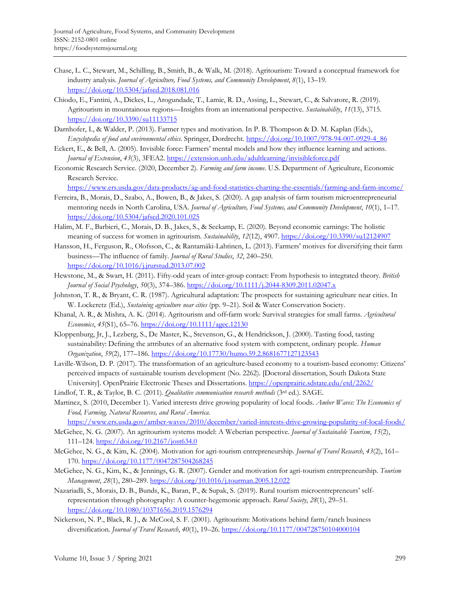- Chase, L. C., Stewart, M., Schilling, B., Smith, B., & Walk, M. (2018). Agritourism: Toward a conceptual framework for industry analysis. *Journal of Agriculture, Food Systems, and Community Development*, *8*(1), 13–19. <https://doi.org/10.5304/jafscd.2018.081.016>
- Chiodo, E., Fantini, A., Dickes, L., Arogundade, T., Lamie, R. D., Assing, L., Stewart, C., & Salvatore, R. (2019). Agritourism in mountainous regions—Insights from an international perspective. *Sustainability*, *11*(13), 3715. <https://doi.org/10.3390/su11133715>
- Darnhofer, I., & Walder, P. (2013). Farmer types and motivation. In P. B. Thompson & D. M. Kaplan (Eds.), *Encyclopedia of food and environmental ethics*. Springer, Dordrecht. [https://doi.org/10.1007/978-94-007-0929-4\\_86](https://doi.org/10.1007/978-94-007-0929-4_86)
- Eckert, E., & Bell, A. (2005). Invisible force: Farmers' mental models and how they influence learning and actions. *Journal of Extension*, *43*(3), 3FEA2.<https://extension.unh.edu/adultlearning/invisibleforce.pdf>
- Economic Research Service. (2020, December 2)*. Farming and farm income*. U.S. Department of Agriculture, Economic Research Service.

<https://www.ers.usda.gov/data-products/ag-and-food-statistics-charting-the-essentials/farming-and-farm-income/>

- Ferreira, B., Morais, D., Szabo, A., Bowen, B., & Jakes, S. (2020). A gap analysis of farm tourism microentrepreneurial mentoring needs in North Carolina, USA. *Journal of Agriculture, Food Systems, and Community Development*, *10*(1), 1–17. <https://doi.org/10.5304/jafscd.2020.101.025>
- Halim, M. F., Barbieri, C., Morais, D. B., Jakes, S., & Seekamp, E. (2020). Beyond economic earnings: The holistic meaning of success for women in agritourism. *Sustainability*, *12*(12), 4907[. https://doi.org/10.3390/su12124907](https://doi.org/10.3390/su12124907)
- Hansson, H., Ferguson, R., Olofsson, C., & Rantamäki-Lahtinen, L. (2013). Farmers' motives for diversifying their farm business—The influence of family. *Journal of Rural Studies*, *32*, 240–250. <https://doi.org/10.1016/j.jrurstud.2013.07.002>
- Hewstone, M., & Swart, H. (2011). Fifty-odd years of inter-group contact: From hypothesis to integrated theory. *British Journal of Social Psychology*, *50*(3), 374–386.<https://doi.org/10.1111/j.2044-8309.2011.02047.x>
- Johnston, T. R., & Bryant, C. R. (1987). Agricultural adaptation: The prospects for sustaining agriculture near cities. In W. Lockeretz (Ed.), *Sustaining agriculture near cities* (pp. 9–21). Soil & Water Conservation Society.
- Khanal, A. R., & Mishra, A. K. (2014). Agritourism and off‐farm work: Survival strategies for small farms. *Agricultural Economics*, *45*(S1), 65–76[. https://doi.org/10.1111/agec.12130](https://doi.org/10.1111/agec.12130)
- Kloppenburg, Jr, J., Lezberg, S., De Master, K., Stevenson, G., & Hendrickson, J. (2000). Tasting food, tasting sustainability: Defining the attributes of an alternative food system with competent, ordinary people. *Human Organization*, *59*(2), 177–186[. https://doi.org/10.17730/humo.59.2.8681677127123543](https://doi.org/10.17730/humo.59.2.8681677127123543)
- Laville-Wilson, D. P. (2017). The transformation of an agriculture-based economy to a tourism-based economy: Citizens' perceived impacts of sustainable tourism development (No. 2262). [Doctoral dissertation, South Dakota State University]. OpenPrairie Electronic Theses and Dissertations.<https://openprairie.sdstate.edu/etd/2262/>
- Lindlof, T. R., & Taylor, B. C. (2011). *Qualitative communication research methods* (3rd ed.). SAGE.
- Martinez, S. (2010, December 1). Varied interests drive growing popularity of local foods. *Amber Waves: The Economics of Food, Farming, Natural Resources, and Rural America*.
- <https://www.ers.usda.gov/amber-waves/2010/december/varied-interests-drive-growing-popularity-of-local-foods/>
- McGehee, N. G. (2007). An agritourism systems model: A Weberian perspective. *Journal of Sustainable Tourism*, *15*(2), 111–124.<https://doi.org/10.2167/jost634.0>
- McGehee, N. G., & Kim, K. (2004). Motivation for agri-tourism entrepreneurship. *Journal of Travel Research*, *43*(2), 161– 170[. https://doi.org/10.1177/0047287504268245](https://doi.org/10.1177/0047287504268245)
- McGehee, N. G., Kim, K., & Jennings, G. R. (2007). Gender and motivation for agri-tourism entrepreneurship. *Tourism Management*, *28*(1), 280–289.<https://doi.org/10.1016/j.tourman.2005.12.022>
- Nazariadli, S., Morais, D. B., Bunds, K., Baran, P., & Supak, S. (2019). Rural tourism microentrepreneurs' selfrepresentation through photography: A counter-hegemonic approach. *Rural Society*, *28*(1), 29–51. <https://doi.org/10.1080/10371656.2019.1576294>
- Nickerson, N. P., Black, R. J., & McCool, S. F. (2001). Agritourism: Motivations behind farm/ranch business diversification. *Journal of Travel Research*, *40*(1), 19–26.<https://doi.org/10.1177/004728750104000104>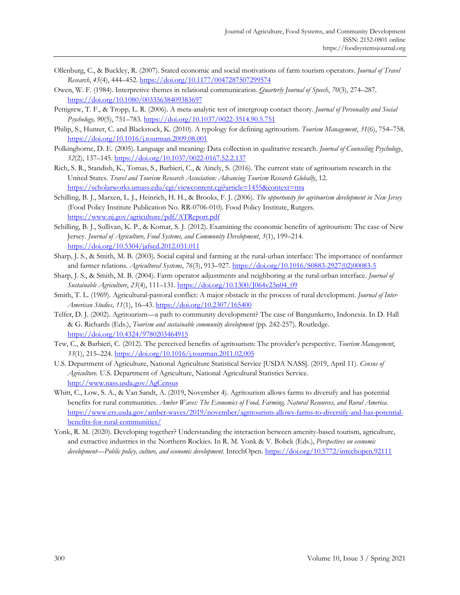- Ollenburg, C., & Buckley, R. (2007). Stated economic and social motivations of farm tourism operators. *Journal of Travel Research*, *45*(4), 444–452.<https://doi.org/10.1177/0047287507299574>
- Owen, W. F. (1984). Interpretive themes in relational communication. *Quarterly Journal of Speech*, *70*(3), 274–287. <https://doi.org/10.1080/00335638409383697>
- Pettigrew, T. F., & Tropp, L. R. (2006). A meta-analytic test of intergroup contact theory. *Journal of Personality and Social Psychology, 90*(5), 751–783. [https://doi.org/10.1037/0022-3514.90.5.751](https://psycnet.apa.org/doi/10.1037/0022-3514.90.5.751)
- Philip, S., Hunter, C. and Blackstock, K. (2010). A typology for defining agritourism. *Tourism Management*, *31*(6), 754–758. <https://doi.org/10.1016/j.tourman.2009.08.001>
- Polkinghorne, D. E. (2005). Language and meaning: Data collection in qualitative research. *Journal of Counseling Psychology*, *52*(2), 137–145.<https://doi.org/10.1037/0022-0167.52.2.137>
- Rich, S. R., Standish, K., Tomas, S., Barbieri, C., & Ainely, S. (2016). The current state of agritourism research in the United States. *Travel and Tourism Research Association: Advancing Tourism Research Globally*, 12. <https://scholarworks.umass.edu/cgi/viewcontent.cgi?article=1455&context=ttra>
- Schilling, B. J., Marxen, L. J., Heinrich, H. H., & Brooks, F. J. (2006). *The opportunity for agritourism development in New Jersey* (Food Policy Institute Publication No. RR-0706-010). Food Policy Institute, Rutgers. <https://www.nj.gov/agriculture/pdf/ATReport.pdf>
- Schilling, B. J., Sullivan, K. P., & Komar, S. J. (2012). Examining the economic benefits of agritourism: The case of New Jersey. *Journal of Agriculture, Food Systems, and Community Development*, *3*(1), 199–214. <https://doi.org/10.5304/jafscd.2012.031.011>
- Sharp, J. S., & Smith, M. B. (2003). Social capital and farming at the rural-urban interface: The importance of nonfarmer and farmer relations. *Agricultural Systems*, *76*(3), 913–927. [https://doi.org/10.1016/S0883-2927\(02\)00083-5](https://doi.org/10.1016/S0883-2927(02)00083-5)
- Sharp, J. S., & Smith, M. B. (2004). Farm operator adjustments and neighboring at the rural-urban interface. *Journal of Sustainable Agriculture*, *23*(4), 111–131. [https://doi.org/10.1300/J064v23n04\\_09](https://doi.org/10.1300/J064v23n04_09)
- Smith, T. L. (1969). Agricultural-pastoral conflict: A major obstacle in the process of rural development. *Journal of Inter-American Studies, 11*(1), 16–43.<https://doi.org/10.2307/165400>
- Telfer, D. J. (2002). Agritourism—a path to community development? The case of Bangunkerto, Indonesia. In D. Hall & G. Richards (Eds.), *Tourism and sustainable community development* (pp. 242-257). Routledge. <https://doi.org/10.4324/9780203464915>
- Tew, C., & Barbieri, C. (2012). The perceived benefits of agritourism: The provider's perspective. *Tourism Management*, *33*(1), 215–224.<https://doi.org/10.1016/j.tourman.2011.02.005>
- U.S. Department of Agriculture, National Agriculture Statistical Service [USDA NASS]. (2019, April 11). *Census of Agriculture.* U.S. Department of Agriculture, National Agricultural Statistics Service. <http://www.nass.usda.gov/AgCensus>
- Whitt, C., Low, S. A., & Van Sandt, A. (2019, November 4). Agritourism allows farms to diversify and has potential benefits for rural communities. *Amber Waves: The Economics of Food, Farming, Natural Resources, and Rural America*. [https://www.ers.usda.gov/amber-waves/2019/november/agritourism-allows-farms-to-diversify-and-has-potential](https://www.ers.usda.gov/amber-waves/2019/november/agritourism-allows-farms-to-diversify-and-has-potential-benefits-for-rural-communities/)[benefits-for-rural-communities/](https://www.ers.usda.gov/amber-waves/2019/november/agritourism-allows-farms-to-diversify-and-has-potential-benefits-for-rural-communities/)
- Yonk, R. M. (2020). Developing together? Understanding the interaction between amenity-based tourism, agriculture, and extractive industries in the Northern Rockies. In R. M. Yonk & V. Bobek (Eds.), *Perspectives on economic development—Public policy, culture, and economic development*. IntechOpen.<https://doi.org/10.5772/intechopen.92111>